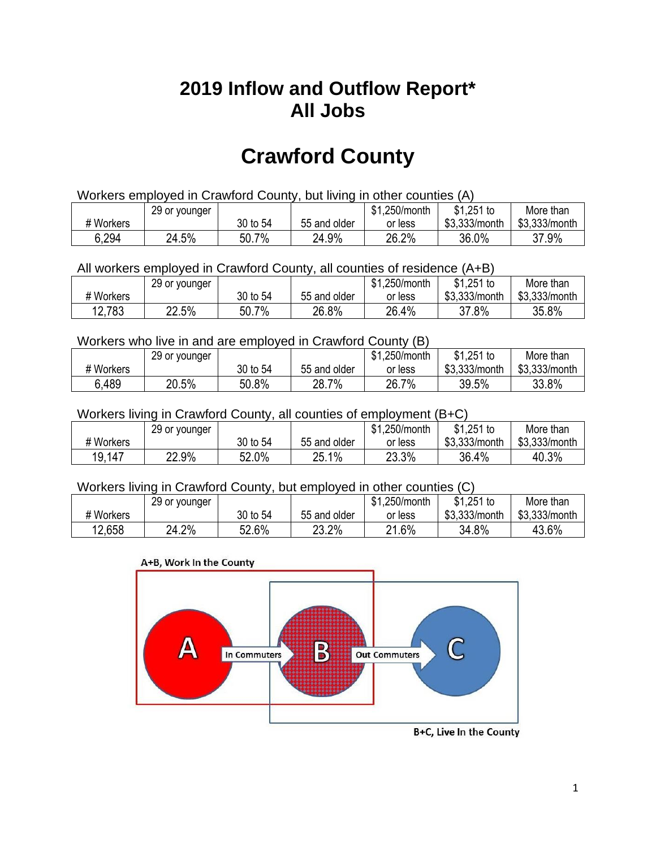## **2019 Inflow and Outflow Report\* All Jobs**

# **Crawford County**

| Workers employed in Crawford County, but living in other counties (A) |                                                            |          |              |         |               |               |  |  |  |
|-----------------------------------------------------------------------|------------------------------------------------------------|----------|--------------|---------|---------------|---------------|--|--|--|
|                                                                       | $$1,251$ to<br>\$1,250/month<br>More than<br>29 or younger |          |              |         |               |               |  |  |  |
| # Workers                                                             |                                                            | 30 to 54 | 55 and older | or less | \$3.333/month | \$3,333/month |  |  |  |
| 6,294                                                                 | 24.5%                                                      | 50.7%    | 24.9%        | 26.2%   | 36.0%         | 37.9%         |  |  |  |

#### All workers employed in Crawford County, all counties of residence (A+B)

|           | 29 or younger |          |              | \$1,250/month | $$1,251$ to   | More than     |
|-----------|---------------|----------|--------------|---------------|---------------|---------------|
| # Workers |               | 30 to 54 | 55 and older | or less       | \$3,333/month | \$3,333/month |
| 12,783    | 22.5%         | 50.7%    | 26.8%        | 26.4%         | 37.8%         | 35.8%         |

#### Workers who live in and are employed in Crawford County (B)

|           | 29 or younger |          |              | \$1,250/month | $$1,251$ to   | More than     |
|-----------|---------------|----------|--------------|---------------|---------------|---------------|
| # Workers |               | 30 to 54 | 55 and older | or less       | \$3,333/month | \$3,333/month |
| 6.489     | 20.5%         | 50.8%    | 28.7%        | 26.7%         | 39.5%         | 33.8%         |

#### Workers living in Crawford County, all counties of employment (B+C)

|           | 29 or younger |          |              | \$1,250/month | \$1,251 to    | More than     |
|-----------|---------------|----------|--------------|---------------|---------------|---------------|
| # Workers |               | 30 to 54 | 55 and older | or less       | \$3,333/month | \$3,333/month |
| 19,147    | 22.9%         | 52.0%    | 25.1%        | 23.3%         | 36.4%         | 40.3%         |

#### Workers living in Crawford County, but employed in other counties (C)

|           | 29 or younger |          |              | \$1,250/month | $$1,251$ to   | More than     |
|-----------|---------------|----------|--------------|---------------|---------------|---------------|
| # Workers |               | 30 to 54 | 55 and older | or less       | \$3,333/month | \$3,333/month |
| 12.658    | 24.2%         | 52.6%    | 23.2%        | 21.6%         | 34.8%         | 43.6%         |

#### A+B, Work In the County



B+C, Live In the County